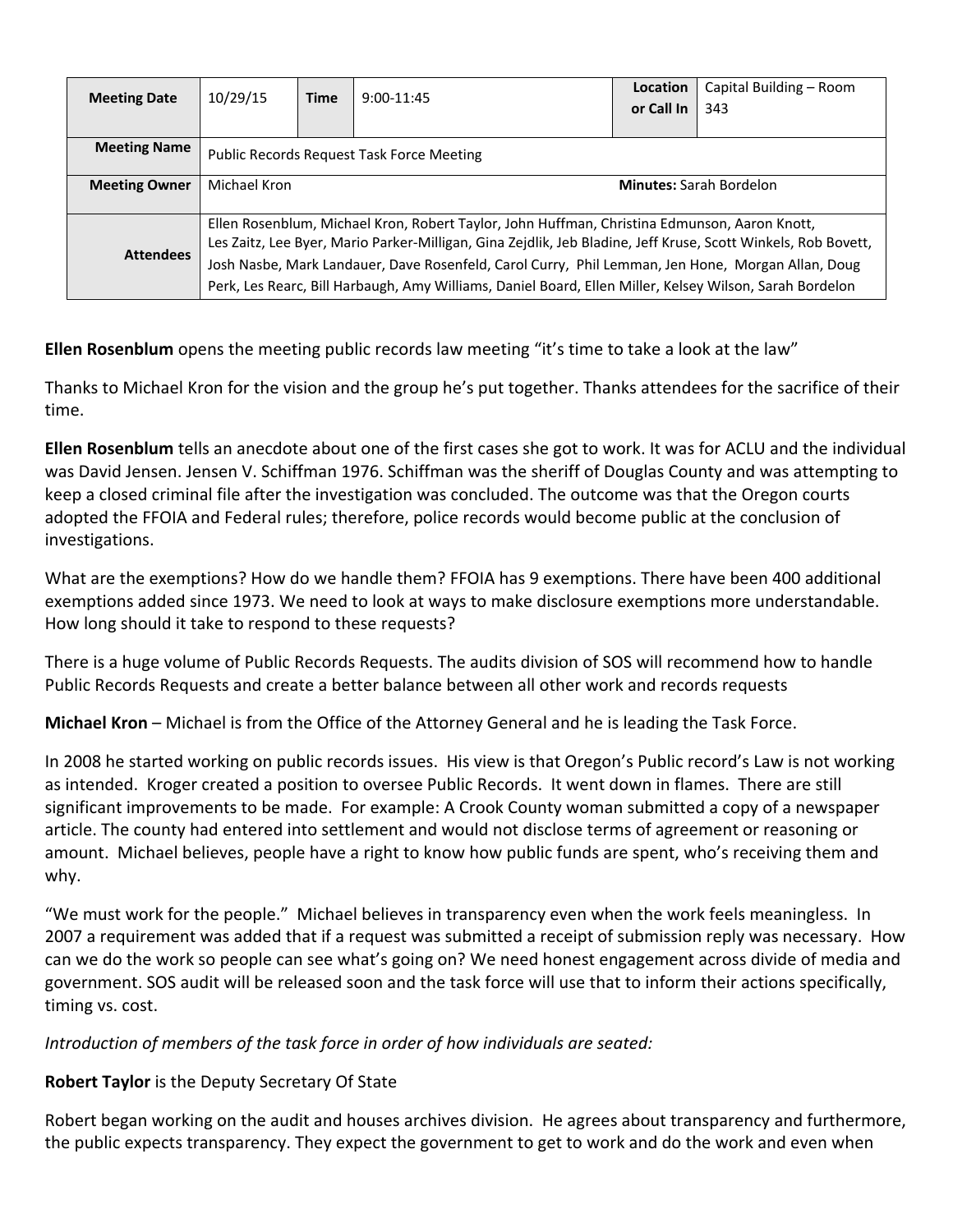| <b>Meeting Date</b>  | 10/29/15                                                                                                                                                                                                                                                                                                           | <b>Time</b> | $9:00-11:45$ | Location                       | Capital Building - Room |  |
|----------------------|--------------------------------------------------------------------------------------------------------------------------------------------------------------------------------------------------------------------------------------------------------------------------------------------------------------------|-------------|--------------|--------------------------------|-------------------------|--|
|                      |                                                                                                                                                                                                                                                                                                                    |             |              | or Call In                     | 343                     |  |
|                      |                                                                                                                                                                                                                                                                                                                    |             |              |                                |                         |  |
| <b>Meeting Name</b>  | <b>Public Records Request Task Force Meeting</b>                                                                                                                                                                                                                                                                   |             |              |                                |                         |  |
| <b>Meeting Owner</b> | Michael Kron                                                                                                                                                                                                                                                                                                       |             |              | <b>Minutes: Sarah Bordelon</b> |                         |  |
| <b>Attendees</b>     | Ellen Rosenblum, Michael Kron, Robert Taylor, John Huffman, Christina Edmunson, Aaron Knott,<br>Les Zaitz, Lee Byer, Mario Parker-Milligan, Gina Zejdlik, Jeb Bladine, Jeff Kruse, Scott Winkels, Rob Bovett,<br>Josh Nasbe, Mark Landauer, Dave Rosenfeld, Carol Curry, Phil Lemman, Jen Hone, Morgan Allan, Doug |             |              |                                |                         |  |
|                      | Perk, Les Rearc, Bill Harbaugh, Amy Williams, Daniel Board, Ellen Miller, Kelsey Wilson, Sarah Bordelon                                                                                                                                                                                                            |             |              |                                |                         |  |

**Ellen Rosenblum** opens the meeting public records law meeting "it's time to take a look at the law"

Thanks to Michael Kron for the vision and the group he's put together. Thanks attendees for the sacrifice of their time.

**Ellen Rosenblum** tells an anecdote about one of the first cases she got to work. It was for ACLU and the individual was David Jensen. Jensen V. Schiffman 1976. Schiffman was the sheriff of Douglas County and was attempting to keep a closed criminal file after the investigation was concluded. The outcome was that the Oregon courts adopted the FFOIA and Federal rules; therefore, police records would become public at the conclusion of investigations.

What are the exemptions? How do we handle them? FFOIA has 9 exemptions. There have been 400 additional exemptions added since 1973. We need to look at ways to make disclosure exemptions more understandable. How long should it take to respond to these requests?

There is a huge volume of Public Records Requests. The audits division of SOS will recommend how to handle Public Records Requests and create a better balance between all other work and records requests

**Michael Kron** – Michael is from the Office of the Attorney General and he is leading the Task Force.

In 2008 he started working on public records issues. His view is that Oregon's Public record's Law is not working as intended. Kroger created a position to oversee Public Records. It went down in flames. There are still significant improvements to be made. For example: A Crook County woman submitted a copy of a newspaper article. The county had entered into settlement and would not disclose terms of agreement or reasoning or amount. Michael believes, people have a right to know how public funds are spent, who's receiving them and why.

"We must work for the people." Michael believes in transparency even when the work feels meaningless. In 2007 a requirement was added that if a request was submitted a receipt of submission reply was necessary. How can we do the work so people can see what's going on? We need honest engagement across divide of media and government. SOS audit will be released soon and the task force will use that to inform their actions specifically, timing vs. cost.

## *Introduction of members of the task force in order of how individuals are seated:*

## **Robert Taylor** is the Deputy Secretary Of State

Robert began working on the audit and houses archives division. He agrees about transparency and furthermore, the public expects transparency. They expect the government to get to work and do the work and even when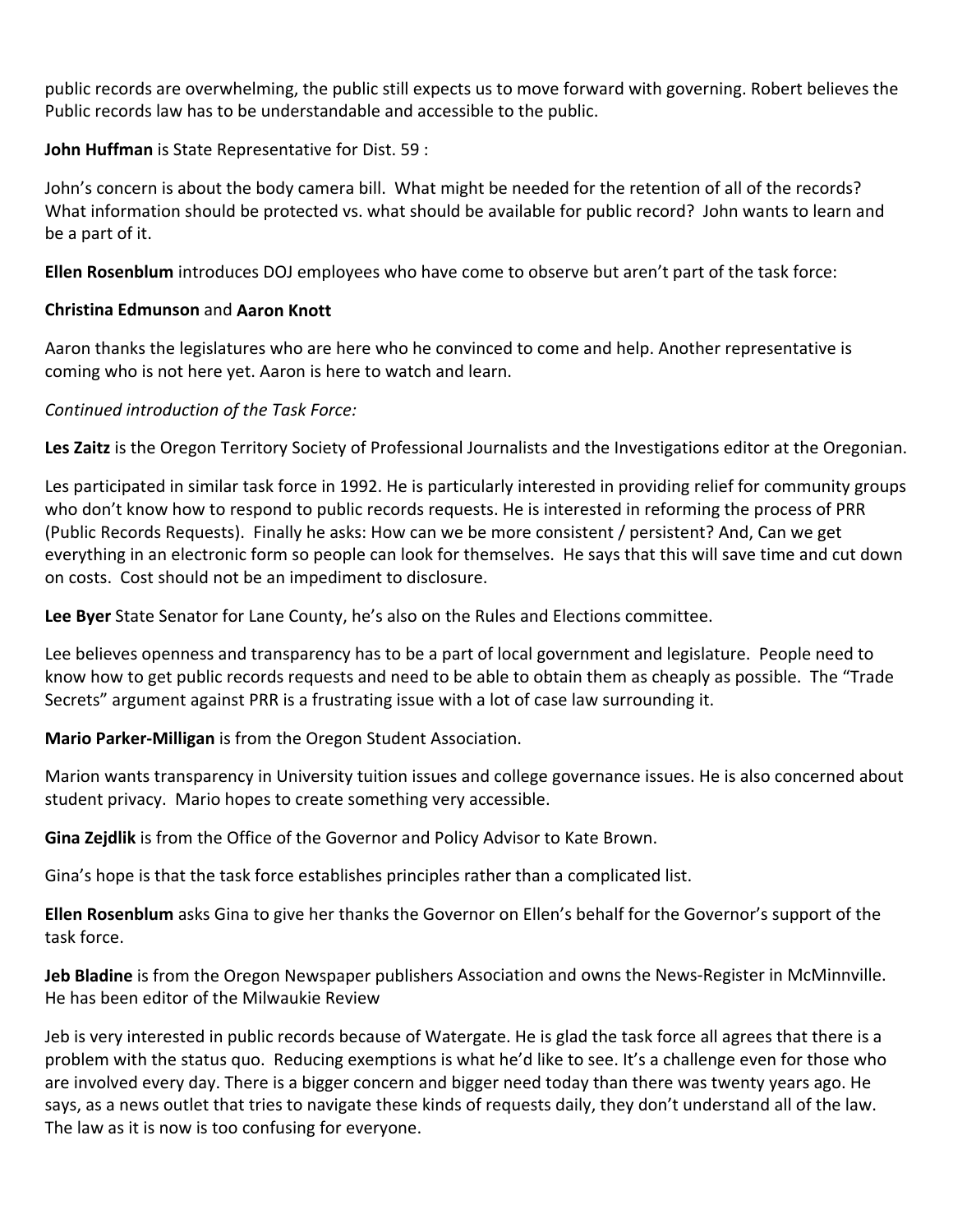public records are overwhelming, the public still expects us to move forward with governing. Robert believes the Public records law has to be understandable and accessible to the public.

**John Huffman** is State Representative for Dist. 59 :

John's concern is about the body camera bill. What might be needed for the retention of all of the records? What information should be protected vs. what should be available for public record? John wants to learn and be a part of it.

**Ellen Rosenblum** introduces DOJ employees who have come to observe but aren't part of the task force:

## **Christina Edmunson** and **Aaron Knott**

Aaron thanks the legislatures who are here who he convinced to come and help. Another representative is coming who is not here yet. Aaron is here to watch and learn.

*Continued introduction of the Task Force:*

**Les Zaitz** is the Oregon Territory Society of Professional Journalists and the Investigations editor at the Oregonian.

Les participated in similar task force in 1992. He is particularly interested in providing relief for community groups who don't know how to respond to public records requests. He is interested in reforming the process of PRR (Public Records Requests). Finally he asks: How can we be more consistent / persistent? And, Can we get everything in an electronic form so people can look for themselves. He says that this will save time and cut down on costs. Cost should not be an impediment to disclosure.

**Lee Byer** State Senator for Lane County, he's also on the Rules and Elections committee.

Lee believes openness and transparency has to be a part of local government and legislature. People need to know how to get public records requests and need to be able to obtain them as cheaply as possible. The "Trade Secrets" argument against PRR is a frustrating issue with a lot of case law surrounding it.

**Mario Parker‐Milligan** is from the Oregon Student Association.

Marion wants transparency in University tuition issues and college governance issues. He is also concerned about student privacy. Mario hopes to create something very accessible.

**Gina Zejdlik** is from the Office of the Governor and Policy Advisor to Kate Brown.

Gina's hope is that the task force establishes principles rather than a complicated list.

**Ellen Rosenblum** asks Gina to give her thanks the Governor on Ellen's behalf for the Governor's support of the task force.

**Jeb Bladine** is from the Oregon Newspaper publishers Association and owns the News‐Register in McMinnville. He has been editor of the Milwaukie Review

Jeb is very interested in public records because of Watergate. He is glad the task force all agrees that there is a problem with the status quo. Reducing exemptions is what he'd like to see. It's a challenge even for those who are involved every day. There is a bigger concern and bigger need today than there was twenty years ago. He says, as a news outlet that tries to navigate these kinds of requests daily, they don't understand all of the law. The law as it is now is too confusing for everyone.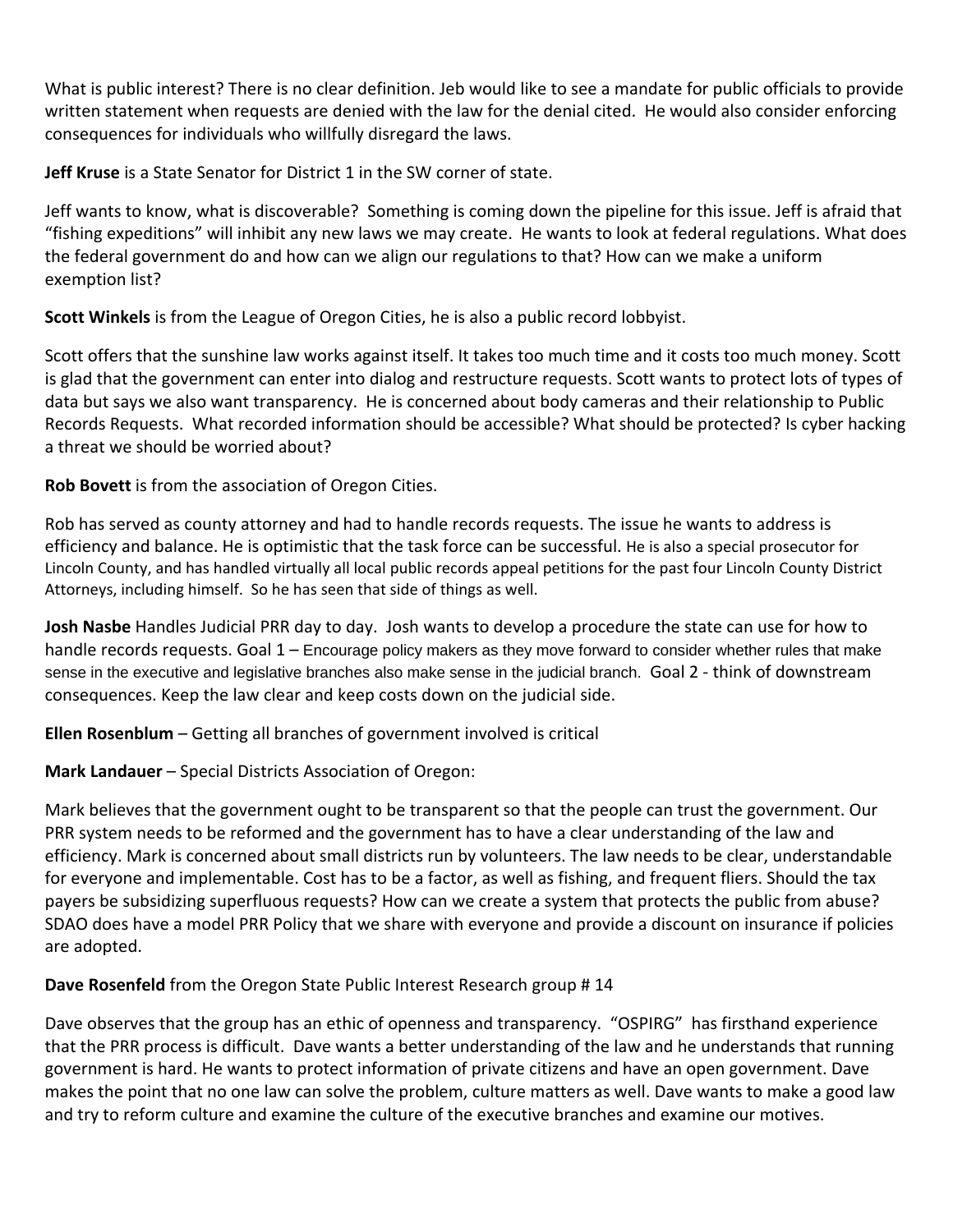What is public interest? There is no clear definition. Jeb would like to see a mandate for public officials to provide written statement when requests are denied with the law for the denial cited. He would also consider enforcing consequences for individuals who willfully disregard the laws.

**Jeff Kruse** is a State Senator for District 1 in the SW corner of state.

Jeff wants to know, what is discoverable? Something is coming down the pipeline for this issue. Jeff is afraid that "fishing expeditions" will inhibit any new laws we may create. He wants to look at federal regulations. What does the federal government do and how can we align our regulations to that? How can we make a uniform exemption list?

**Scott Winkels** is from the League of Oregon Cities, he is also a public record lobbyist.

Scott offers that the sunshine law works against itself. It takes too much time and it costs too much money. Scott is glad that the government can enter into dialog and restructure requests. Scott wants to protect lots of types of data but says we also want transparency. He is concerned about body cameras and their relationship to Public Records Requests. What recorded information should be accessible? What should be protected? Is cyber hacking a threat we should be worried about?

**Rob Bovett** is from the association of Oregon Cities.

Rob has served as county attorney and had to handle records requests. The issue he wants to address is efficiency and balance. He is optimistic that the task force can be successful. He is also a special prosecutor for Lincoln County, and has handled virtually all local public records appeal petitions for the past four Lincoln County District Attorneys, including himself. So he has seen that side of things as well.

**Josh Nasbe** Handles Judicial PRR day to day. Josh wants to develop a procedure the state can use for how to handle records requests. Goal 1 – Encourage policy makers as they move forward to consider whether rules that make sense in the executive and legislative branches also make sense in the judicial branch. Goal 2 - think of downstream consequences. Keep the law clear and keep costs down on the judicial side.

**Ellen Rosenblum** – Getting all branches of government involved is critical

**Mark Landauer** – Special Districts Association of Oregon:

Mark believes that the government ought to be transparent so that the people can trust the government. Our PRR system needs to be reformed and the government has to have a clear understanding of the law and efficiency. Mark is concerned about small districts run by volunteers. The law needs to be clear, understandable for everyone and implementable. Cost has to be a factor, as well as fishing, and frequent fliers. Should the tax payers be subsidizing superfluous requests? How can we create a system that protects the public from abuse? SDAO does have a model PRR Policy that we share with everyone and provide a discount on insurance if policies are adopted.

**Dave Rosenfeld** from the Oregon State Public Interest Research group # 14

Dave observes that the group has an ethic of openness and transparency. "OSPIRG" has firsthand experience that the PRR process is difficult. Dave wants a better understanding of the law and he understands that running government is hard. He wants to protect information of private citizens and have an open government. Dave makes the point that no one law can solve the problem, culture matters as well. Dave wants to make a good law and try to reform culture and examine the culture of the executive branches and examine our motives.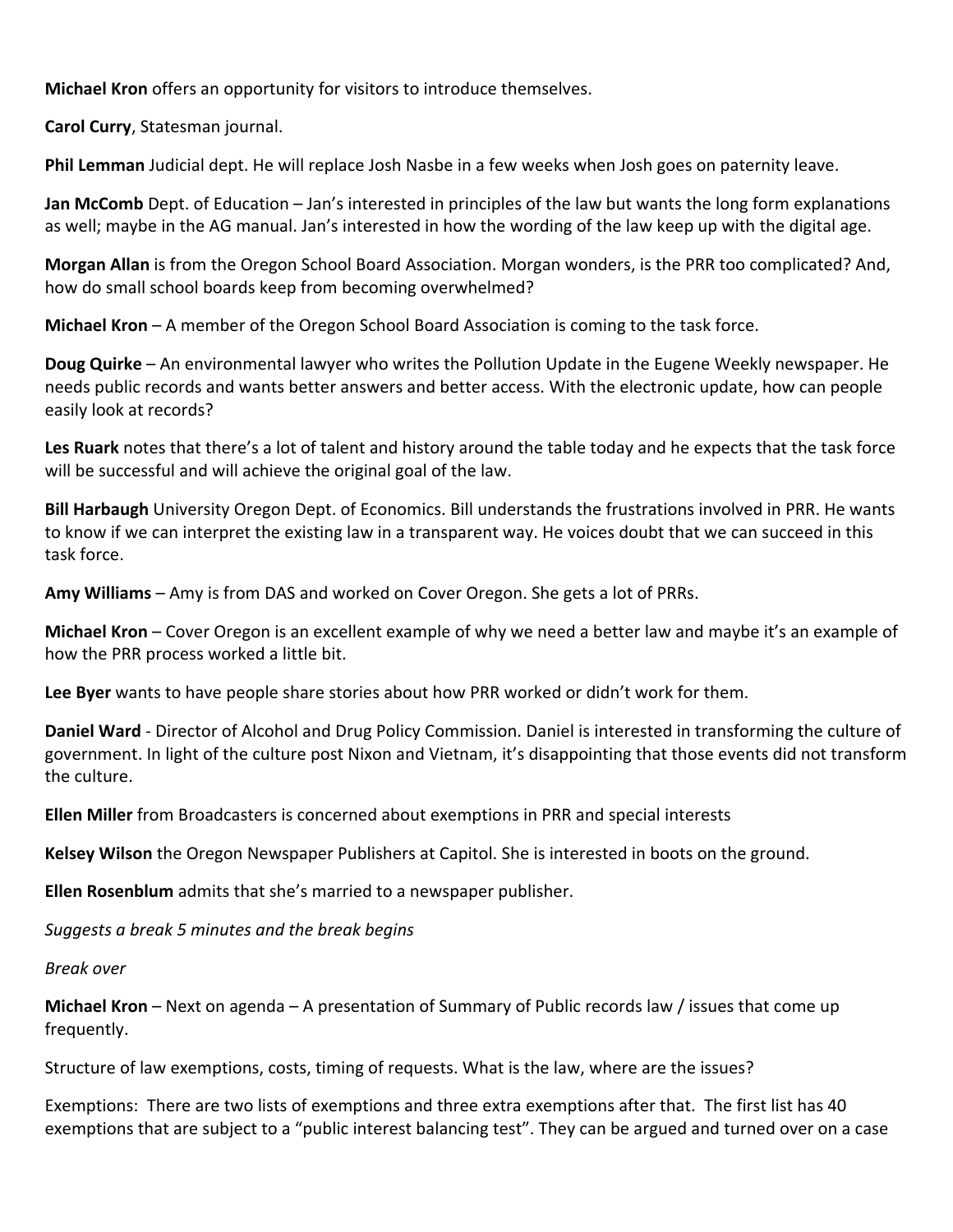**Michael Kron** offers an opportunity for visitors to introduce themselves.

**Carol Curry**, Statesman journal.

**Phil Lemman** Judicial dept. He will replace Josh Nasbe in a few weeks when Josh goes on paternity leave.

**Jan McComb** Dept. of Education – Jan's interested in principles of the law but wants the long form explanations as well; maybe in the AG manual. Jan's interested in how the wording of the law keep up with the digital age.

**Morgan Allan** is from the Oregon School Board Association. Morgan wonders, is the PRR too complicated? And, how do small school boards keep from becoming overwhelmed?

**Michael Kron** – A member of the Oregon School Board Association is coming to the task force.

**Doug Quirke** – An environmental lawyer who writes the Pollution Update in the Eugene Weekly newspaper. He needs public records and wants better answers and better access. With the electronic update, how can people easily look at records?

**Les Ruark** notes that there's a lot of talent and history around the table today and he expects that the task force will be successful and will achieve the original goal of the law.

**Bill Harbaugh** University Oregon Dept. of Economics. Bill understands the frustrations involved in PRR. He wants to know if we can interpret the existing law in a transparent way. He voices doubt that we can succeed in this task force.

**Amy Williams** – Amy is from DAS and worked on Cover Oregon. She gets a lot of PRRs.

**Michael Kron** – Cover Oregon is an excellent example of why we need a better law and maybe it's an example of how the PRR process worked a little bit.

**Lee Byer** wants to have people share stories about how PRR worked or didn't work for them.

**Daniel Ward** ‐ Director of Alcohol and Drug Policy Commission. Daniel is interested in transforming the culture of government. In light of the culture post Nixon and Vietnam, it's disappointing that those events did not transform the culture.

**Ellen Miller** from Broadcasters is concerned about exemptions in PRR and special interests

**Kelsey Wilson** the Oregon Newspaper Publishers at Capitol. She is interested in boots on the ground.

**Ellen Rosenblum** admits that she's married to a newspaper publisher.

*Suggests a break 5 minutes and the break begins*

*Break over*

**Michael Kron** – Next on agenda – A presentation of Summary of Public records law / issues that come up frequently.

Structure of law exemptions, costs, timing of requests. What is the law, where are the issues?

Exemptions: There are two lists of exemptions and three extra exemptions after that. The first list has 40 exemptions that are subject to a "public interest balancing test". They can be argued and turned over on a case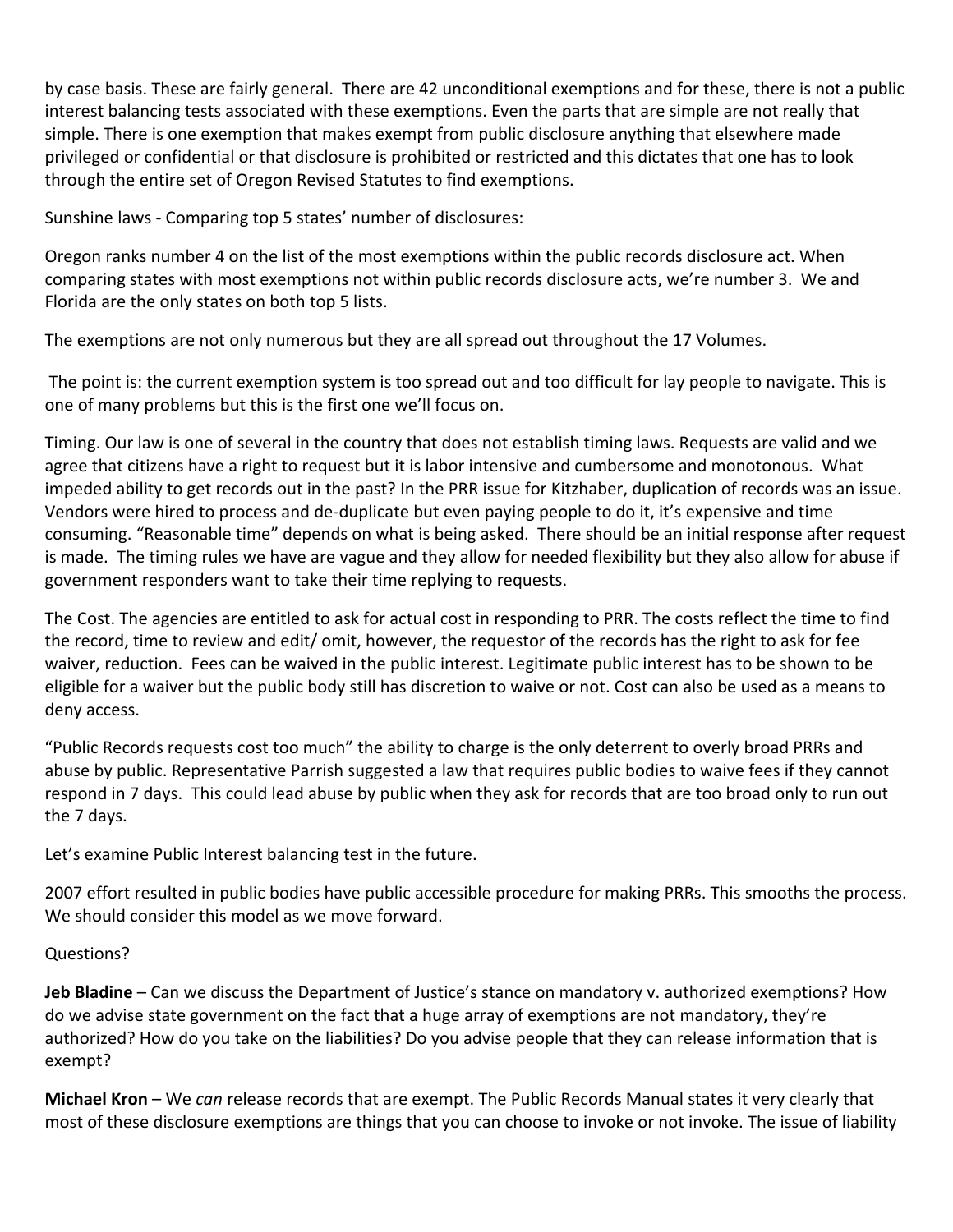by case basis. These are fairly general. There are 42 unconditional exemptions and for these, there is not a public interest balancing tests associated with these exemptions. Even the parts that are simple are not really that simple. There is one exemption that makes exempt from public disclosure anything that elsewhere made privileged or confidential or that disclosure is prohibited or restricted and this dictates that one has to look through the entire set of Oregon Revised Statutes to find exemptions.

Sunshine laws ‐ Comparing top 5 states' number of disclosures:

Oregon ranks number 4 on the list of the most exemptions within the public records disclosure act. When comparing states with most exemptions not within public records disclosure acts, we're number 3. We and Florida are the only states on both top 5 lists.

The exemptions are not only numerous but they are all spread out throughout the 17 Volumes.

The point is: the current exemption system is too spread out and too difficult for lay people to navigate. This is one of many problems but this is the first one we'll focus on.

Timing. Our law is one of several in the country that does not establish timing laws. Requests are valid and we agree that citizens have a right to request but it is labor intensive and cumbersome and monotonous. What impeded ability to get records out in the past? In the PRR issue for Kitzhaber, duplication of records was an issue. Vendors were hired to process and de‐duplicate but even paying people to do it, it's expensive and time consuming. "Reasonable time" depends on what is being asked. There should be an initial response after request is made. The timing rules we have are vague and they allow for needed flexibility but they also allow for abuse if government responders want to take their time replying to requests.

The Cost. The agencies are entitled to ask for actual cost in responding to PRR. The costs reflect the time to find the record, time to review and edit/ omit, however, the requestor of the records has the right to ask for fee waiver, reduction. Fees can be waived in the public interest. Legitimate public interest has to be shown to be eligible for a waiver but the public body still has discretion to waive or not. Cost can also be used as a means to deny access.

"Public Records requests cost too much" the ability to charge is the only deterrent to overly broad PRRs and abuse by public. Representative Parrish suggested a law that requires public bodies to waive fees if they cannot respond in 7 days. This could lead abuse by public when they ask for records that are too broad only to run out the 7 days.

Let's examine Public Interest balancing test in the future.

2007 effort resulted in public bodies have public accessible procedure for making PRRs. This smooths the process. We should consider this model as we move forward.

## Questions?

**Jeb Bladine** – Can we discuss the Department of Justice's stance on mandatory v. authorized exemptions? How do we advise state government on the fact that a huge array of exemptions are not mandatory, they're authorized? How do you take on the liabilities? Do you advise people that they can release information that is exempt?

**Michael Kron** – We *can* release records that are exempt. The Public Records Manual states it very clearly that most of these disclosure exemptions are things that you can choose to invoke or not invoke. The issue of liability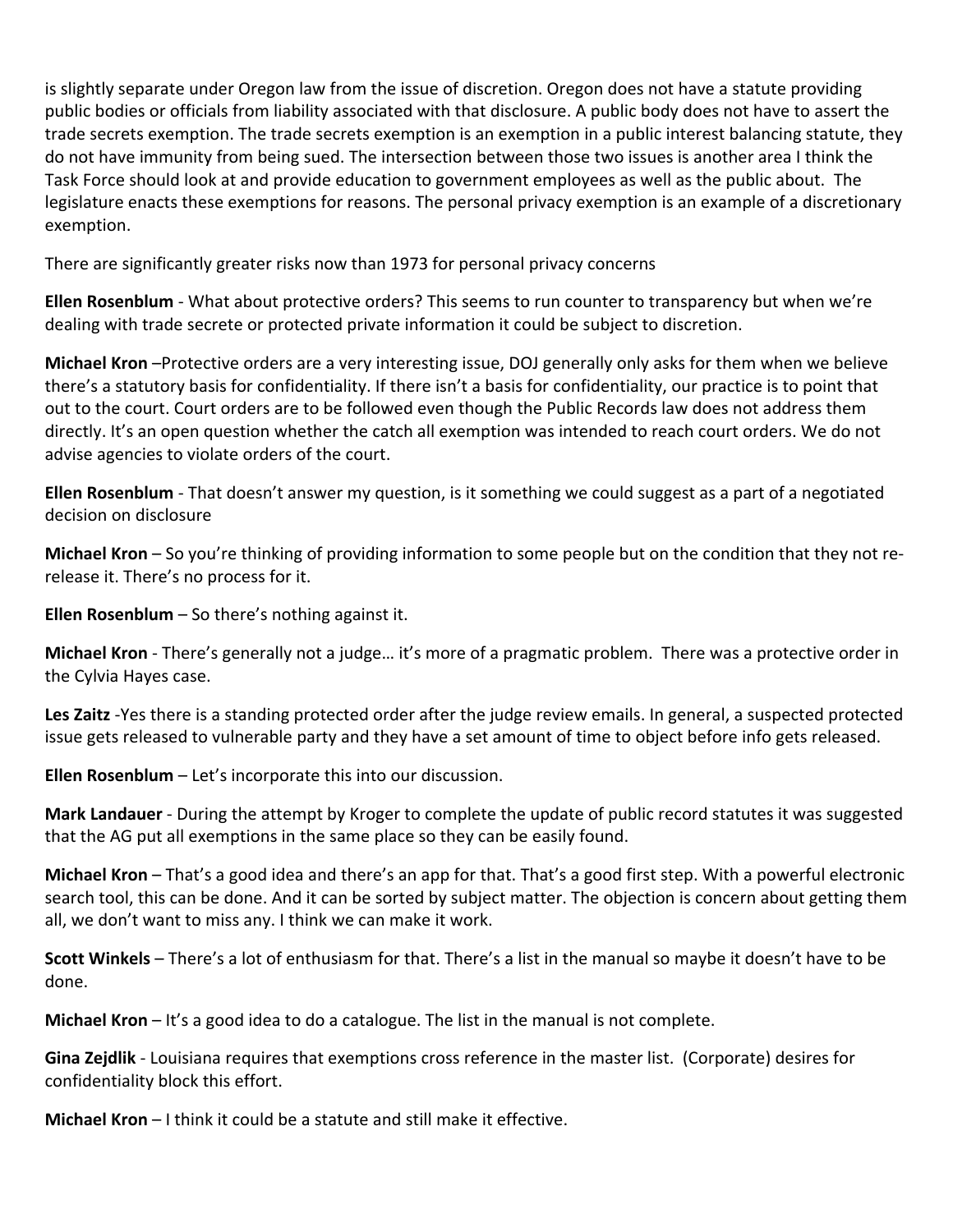is slightly separate under Oregon law from the issue of discretion. Oregon does not have a statute providing public bodies or officials from liability associated with that disclosure. A public body does not have to assert the trade secrets exemption. The trade secrets exemption is an exemption in a public interest balancing statute, they do not have immunity from being sued. The intersection between those two issues is another area I think the Task Force should look at and provide education to government employees as well as the public about. The legislature enacts these exemptions for reasons. The personal privacy exemption is an example of a discretionary exemption.

There are significantly greater risks now than 1973 for personal privacy concerns

**Ellen Rosenblum** ‐ What about protective orders? This seems to run counter to transparency but when we're dealing with trade secrete or protected private information it could be subject to discretion.

**Michael Kron** –Protective orders are a very interesting issue, DOJ generally only asks for them when we believe there's a statutory basis for confidentiality. If there isn't a basis for confidentiality, our practice is to point that out to the court. Court orders are to be followed even though the Public Records law does not address them directly. It's an open question whether the catch all exemption was intended to reach court orders. We do not advise agencies to violate orders of the court.

**Ellen Rosenblum** ‐ That doesn't answer my question, is it something we could suggest as a part of a negotiated decision on disclosure

**Michael Kron** – So you're thinking of providing information to some people but on the condition that they not re‐ release it. There's no process for it.

**Ellen Rosenblum** – So there's nothing against it.

**Michael Kron** ‐ There's generally not a judge… it's more of a pragmatic problem. There was a protective order in the Cylvia Hayes case.

**Les Zaitz** ‐Yes there is a standing protected order after the judge review emails. In general, a suspected protected issue gets released to vulnerable party and they have a set amount of time to object before info gets released.

**Ellen Rosenblum** – Let's incorporate this into our discussion.

**Mark Landauer** ‐ During the attempt by Kroger to complete the update of public record statutes it was suggested that the AG put all exemptions in the same place so they can be easily found.

**Michael Kron** – That's a good idea and there's an app for that. That's a good first step. With a powerful electronic search tool, this can be done. And it can be sorted by subject matter. The objection is concern about getting them all, we don't want to miss any. I think we can make it work.

**Scott Winkels** – There's a lot of enthusiasm for that. There's a list in the manual so maybe it doesn't have to be done.

**Michael Kron** – It's a good idea to do a catalogue. The list in the manual is not complete.

**Gina Zejdlik** ‐ Louisiana requires that exemptions cross reference in the master list. (Corporate) desires for confidentiality block this effort.

**Michael Kron** – I think it could be a statute and still make it effective.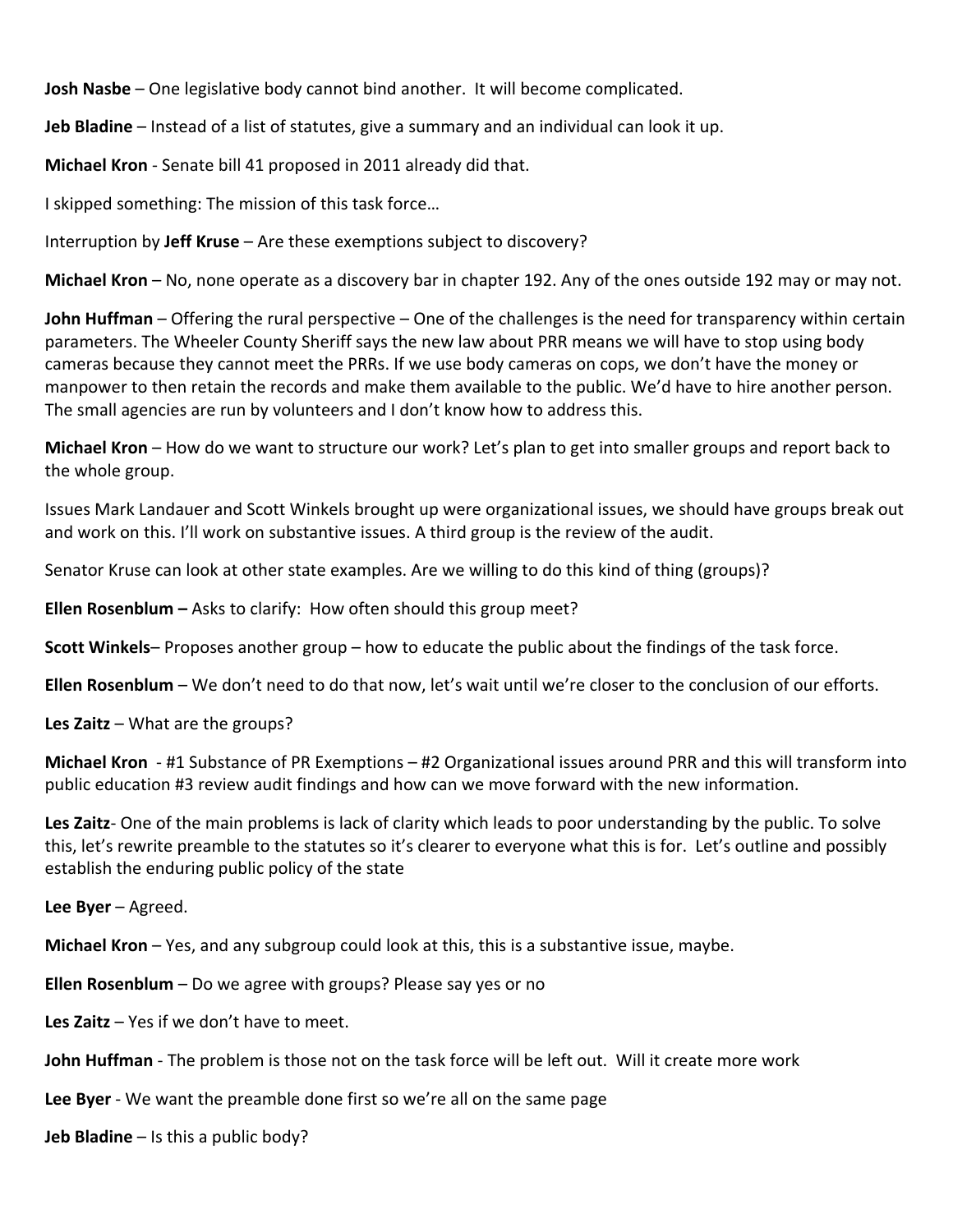**Josh Nasbe** – One legislative body cannot bind another. It will become complicated.

**Jeb Bladine** – Instead of a list of statutes, give a summary and an individual can look it up.

**Michael Kron** ‐ Senate bill 41 proposed in 2011 already did that.

I skipped something: The mission of this task force…

Interruption by **Jeff Kruse** – Are these exemptions subject to discovery?

**Michael Kron** – No, none operate as a discovery bar in chapter 192. Any of the ones outside 192 may or may not.

**John Huffman** – Offering the rural perspective – One of the challenges is the need for transparency within certain parameters. The Wheeler County Sheriff says the new law about PRR means we will have to stop using body cameras because they cannot meet the PRRs. If we use body cameras on cops, we don't have the money or manpower to then retain the records and make them available to the public. We'd have to hire another person. The small agencies are run by volunteers and I don't know how to address this.

**Michael Kron** – How do we want to structure our work? Let's plan to get into smaller groups and report back to the whole group.

Issues Mark Landauer and Scott Winkels brought up were organizational issues, we should have groups break out and work on this. I'll work on substantive issues. A third group is the review of the audit.

Senator Kruse can look at other state examples. Are we willing to do this kind of thing (groups)?

**Ellen Rosenblum –** Asks to clarify: How often should this group meet?

**Scott Winkels**– Proposes another group – how to educate the public about the findings of the task force.

**Ellen Rosenblum** – We don't need to do that now, let's wait until we're closer to the conclusion of our efforts.

**Les Zaitz** – What are the groups?

**Michael Kron** ‐ #1 Substance of PR Exemptions – #2 Organizational issues around PRR and this will transform into public education #3 review audit findings and how can we move forward with the new information.

**Les Zaitz**‐ One of the main problems is lack of clarity which leads to poor understanding by the public. To solve this, let's rewrite preamble to the statutes so it's clearer to everyone what this is for. Let's outline and possibly establish the enduring public policy of the state

**Lee Byer** – Agreed.

**Michael Kron** – Yes, and any subgroup could look at this, this is a substantive issue, maybe.

**Ellen Rosenblum** – Do we agree with groups? Please say yes or no

**Les Zaitz** – Yes if we don't have to meet.

**John Huffman** ‐ The problem is those not on the task force will be left out. Will it create more work

**Lee Byer** ‐ We want the preamble done first so we're all on the same page

**Jeb Bladine** – Is this a public body?